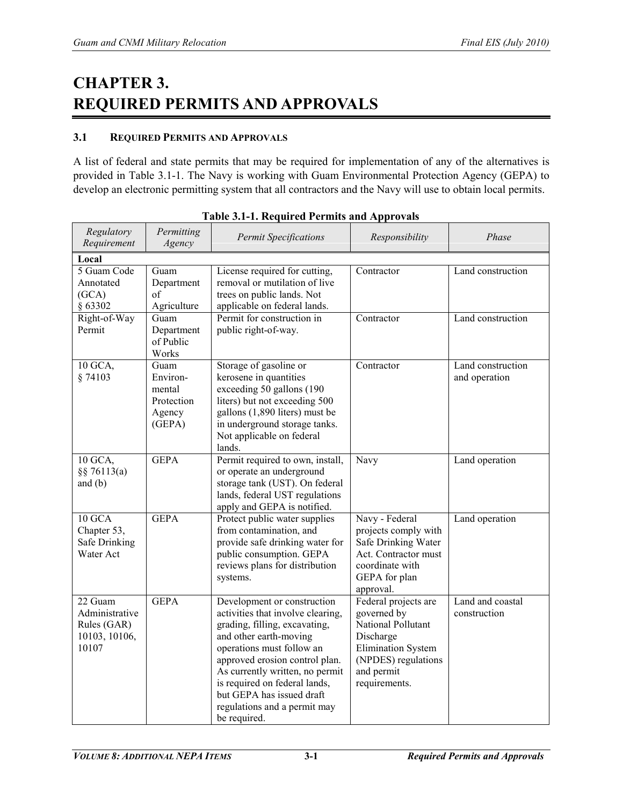# **CHAPTER 3. REQUIRED PERMITS AND APPROVALS**

## **3.1 REQUIRED PERMITS AND APPROVALS**

A list of federal and state permits that may be required for implementation of any of the alternatives is provided in Table 3.1-1. The Navy is working with Guam Environmental Protection Agency (GEPA) to develop an electronic permitting system that all contractors and the Navy will use to obtain local permits.

| Regulatory<br>Requirement                                          | Permitting<br>Agency                                         | <b>Permit Specifications</b>                                                                                                                                                                                                                                                                                                                | Responsibility                                                                                                                                            | Phase                              |
|--------------------------------------------------------------------|--------------------------------------------------------------|---------------------------------------------------------------------------------------------------------------------------------------------------------------------------------------------------------------------------------------------------------------------------------------------------------------------------------------------|-----------------------------------------------------------------------------------------------------------------------------------------------------------|------------------------------------|
| Local                                                              |                                                              |                                                                                                                                                                                                                                                                                                                                             |                                                                                                                                                           |                                    |
| 5 Guam Code<br>Annotated<br>(GCA)<br>§ 63302                       | Guam<br>Department<br>of<br>Agriculture                      | License required for cutting,<br>removal or mutilation of live<br>trees on public lands. Not<br>applicable on federal lands.                                                                                                                                                                                                                | Contractor                                                                                                                                                | Land construction                  |
| Right-of-Way<br>Permit                                             | Guam<br>Department<br>of Public<br>Works                     | Permit for construction in<br>public right-of-way.                                                                                                                                                                                                                                                                                          | Contractor                                                                                                                                                | Land construction                  |
| 10 GCA,<br>§ 74103                                                 | Guam<br>Environ-<br>mental<br>Protection<br>Agency<br>(GEPA) | Storage of gasoline or<br>kerosene in quantities<br>exceeding 50 gallons (190<br>liters) but not exceeding 500<br>gallons (1,890 liters) must be<br>in underground storage tanks.<br>Not applicable on federal<br>lands.                                                                                                                    | Contractor                                                                                                                                                | Land construction<br>and operation |
| 10 GCA,<br>$\S$ 76113(a)<br>and $(b)$                              | <b>GEPA</b>                                                  | Permit required to own, install,<br>or operate an underground<br>storage tank (UST). On federal<br>lands, federal UST regulations<br>apply and GEPA is notified.                                                                                                                                                                            | Navy                                                                                                                                                      | Land operation                     |
| $10$ GCA<br>Chapter 53,<br>Safe Drinking<br>Water Act              | <b>GEPA</b>                                                  | Protect public water supplies<br>from contamination, and<br>provide safe drinking water for<br>public consumption. GEPA<br>reviews plans for distribution<br>systems.                                                                                                                                                                       | Navy - Federal<br>projects comply with<br>Safe Drinking Water<br>Act. Contractor must<br>coordinate with<br>GEPA for plan<br>approval.                    | Land operation                     |
| 22 Guam<br>Administrative<br>Rules (GAR)<br>10103, 10106,<br>10107 | <b>GEPA</b>                                                  | Development or construction<br>activities that involve clearing,<br>grading, filling, excavating,<br>and other earth-moving<br>operations must follow an<br>approved erosion control plan.<br>As currently written, no permit<br>is required on federal lands,<br>but GEPA has issued draft<br>regulations and a permit may<br>be required. | Federal projects are<br>governed by<br>National Pollutant<br>Discharge<br><b>Elimination System</b><br>(NPDES) regulations<br>and permit<br>requirements. | Land and coastal<br>construction   |

| Table 3.1-1. Required Permits and Approvals |
|---------------------------------------------|
|---------------------------------------------|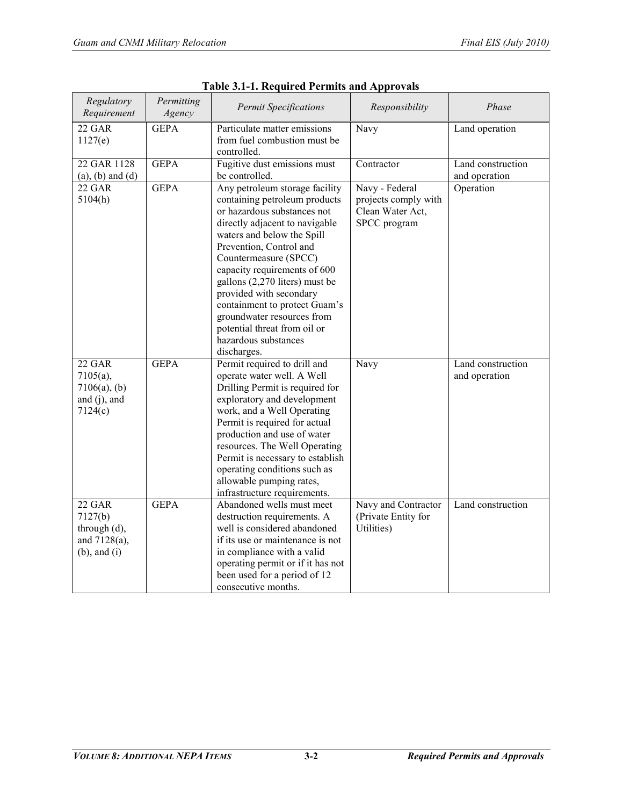| Regulatory<br>Requirement                                                    | Permitting<br>Agency | <b>Permit Specifications</b>                                                                                                                                                                                                                                                                                                                                                                                                                          | Responsibility                                                             | Phase                              |
|------------------------------------------------------------------------------|----------------------|-------------------------------------------------------------------------------------------------------------------------------------------------------------------------------------------------------------------------------------------------------------------------------------------------------------------------------------------------------------------------------------------------------------------------------------------------------|----------------------------------------------------------------------------|------------------------------------|
| <b>22 GAR</b><br>1127(e)                                                     | <b>GEPA</b>          | Particulate matter emissions<br>from fuel combustion must be<br>controlled.                                                                                                                                                                                                                                                                                                                                                                           | Navy                                                                       | Land operation                     |
| 22 GAR 1128<br>$(a)$ , $(b)$ and $(d)$                                       | <b>GEPA</b>          | Fugitive dust emissions must<br>be controlled.                                                                                                                                                                                                                                                                                                                                                                                                        | Contractor                                                                 | Land construction<br>and operation |
| 22 GAR<br>5104(h)                                                            | <b>GEPA</b>          | Any petroleum storage facility<br>containing petroleum products<br>or hazardous substances not<br>directly adjacent to navigable<br>waters and below the Spill<br>Prevention, Control and<br>Countermeasure (SPCC)<br>capacity requirements of 600<br>gallons (2,270 liters) must be<br>provided with secondary<br>containment to protect Guam's<br>groundwater resources from<br>potential threat from oil or<br>hazardous substances<br>discharges. | Navy - Federal<br>projects comply with<br>Clean Water Act,<br>SPCC program | Operation                          |
| 22 GAR<br>$7105(a)$ ,<br>$7106(a)$ , (b)<br>and $(i)$ , and<br>7124(c)       | <b>GEPA</b>          | Permit required to drill and<br>operate water well. A Well<br>Drilling Permit is required for<br>exploratory and development<br>work, and a Well Operating<br>Permit is required for actual<br>production and use of water<br>resources. The Well Operating<br>Permit is necessary to establish<br>operating conditions such as<br>allowable pumping rates,<br>infrastructure requirements.                                                           | Navy                                                                       | Land construction<br>and operation |
| 22 GAR<br>7127(b)<br>through $(d)$ ,<br>and $7128(a)$ ,<br>$(b)$ , and $(i)$ | <b>GEPA</b>          | Abandoned wells must meet<br>destruction requirements. A<br>well is considered abandoned<br>if its use or maintenance is not<br>in compliance with a valid<br>operating permit or if it has not<br>been used for a period of 12<br>consecutive months.                                                                                                                                                                                                | Navy and Contractor<br>(Private Entity for<br>Utilities)                   | Land construction                  |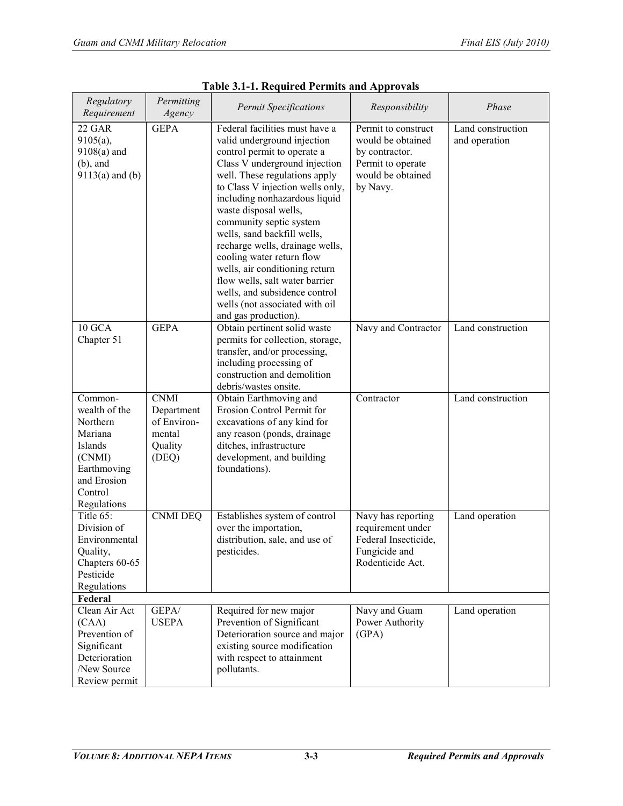| Regulatory<br>Requirement | Permitting       | <b>Permit Specifications</b><br>Responsibility         |                      | Phase             |  |
|---------------------------|------------------|--------------------------------------------------------|----------------------|-------------------|--|
|                           | Agency           |                                                        |                      |                   |  |
| 22 GAR                    | <b>GEPA</b>      | Federal facilities must have a                         | Permit to construct  | Land construction |  |
| $9105(a)$ ,               |                  | valid underground injection                            | would be obtained    | and operation     |  |
| $9108(a)$ and             |                  | control permit to operate a                            | by contractor.       |                   |  |
| $(b)$ , and               |                  | Class V underground injection                          | Permit to operate    |                   |  |
| $9113(a)$ and (b)         |                  | well. These regulations apply                          | would be obtained    |                   |  |
|                           |                  | to Class V injection wells only,                       | by Navy.             |                   |  |
|                           |                  | including nonhazardous liquid                          |                      |                   |  |
|                           |                  | waste disposal wells,                                  |                      |                   |  |
|                           |                  | community septic system                                |                      |                   |  |
|                           |                  | wells, sand backfill wells,                            |                      |                   |  |
|                           |                  | recharge wells, drainage wells,                        |                      |                   |  |
|                           |                  | cooling water return flow                              |                      |                   |  |
|                           |                  | wells, air conditioning return                         |                      |                   |  |
|                           |                  | flow wells, salt water barrier                         |                      |                   |  |
|                           |                  | wells, and subsidence control                          |                      |                   |  |
|                           |                  | wells (not associated with oil                         |                      |                   |  |
|                           |                  | and gas production).                                   |                      |                   |  |
| 10 GCA                    | <b>GEPA</b>      | Obtain pertinent solid waste                           | Navy and Contractor  | Land construction |  |
| Chapter 51                |                  | permits for collection, storage,                       |                      |                   |  |
|                           |                  | transfer, and/or processing,                           |                      |                   |  |
|                           |                  | including processing of                                |                      |                   |  |
|                           |                  | construction and demolition                            |                      |                   |  |
|                           |                  | debris/wastes onsite.                                  |                      |                   |  |
| Common-                   | <b>CNMI</b>      | Obtain Earthmoving and                                 | Contractor           | Land construction |  |
| wealth of the             | Department       | Erosion Control Permit for                             |                      |                   |  |
| Northern<br>Mariana       | of Environ-      | excavations of any kind for                            |                      |                   |  |
| Islands                   | mental           | any reason (ponds, drainage<br>ditches, infrastructure |                      |                   |  |
|                           | Quality<br>(DEQ) | development, and building                              |                      |                   |  |
| (CNMI)<br>Earthmoving     |                  | foundations).                                          |                      |                   |  |
| and Erosion               |                  |                                                        |                      |                   |  |
| Control                   |                  |                                                        |                      |                   |  |
| Regulations               |                  |                                                        |                      |                   |  |
| Title 65:                 | <b>CNMI DEQ</b>  | Establishes system of control                          | Navy has reporting   | Land operation    |  |
| Division of               |                  | over the importation,                                  | requirement under    |                   |  |
| Environmental             |                  | distribution, sale, and use of                         | Federal Insecticide, |                   |  |
| Quality,                  |                  | pesticides.                                            | Fungicide and        |                   |  |
| Chapters 60-65            |                  |                                                        | Rodenticide Act.     |                   |  |
| Pesticide                 |                  |                                                        |                      |                   |  |
| Regulations               |                  |                                                        |                      |                   |  |
| Federal                   |                  |                                                        |                      |                   |  |
| Clean Air Act             | GEPA/            | Required for new major                                 | Navy and Guam        | Land operation    |  |
| (CAA)                     | <b>USEPA</b>     | Prevention of Significant                              | Power Authority      |                   |  |
| Prevention of             |                  | Deterioration source and major                         | (GPA)                |                   |  |
| Significant               |                  | existing source modification                           |                      |                   |  |
| Deterioration             |                  | with respect to attainment                             |                      |                   |  |
| /New Source               |                  | pollutants.                                            |                      |                   |  |
| Review permit             |                  |                                                        |                      |                   |  |

| <b>Table 3.1-1. Required Permits and Approvals</b> |
|----------------------------------------------------|
|----------------------------------------------------|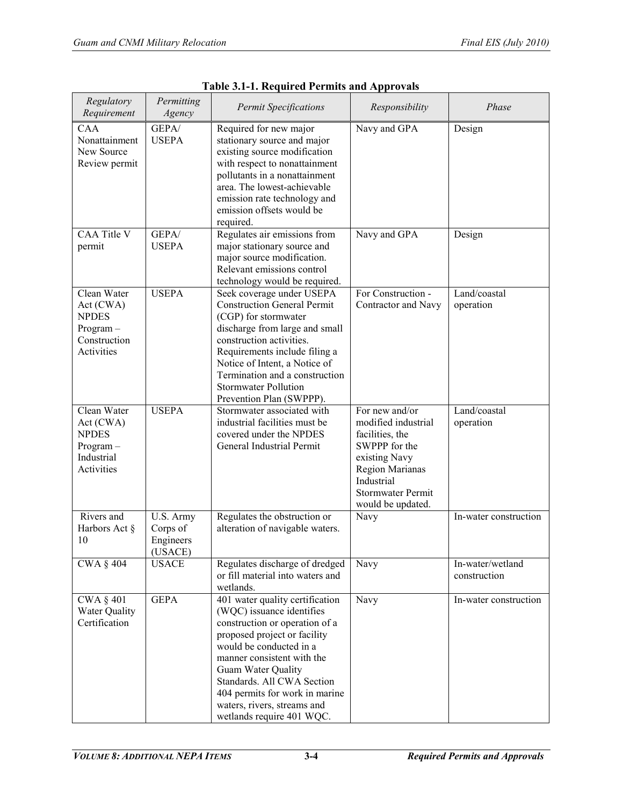| Regulatory<br>Requirement                                                            | Permitting<br>Agency                          | <b>Permit Specifications</b>                                                                                                                                                                                                                                                                                                              | Responsibility                                                                                                                                                                      | Phase                            |  |
|--------------------------------------------------------------------------------------|-----------------------------------------------|-------------------------------------------------------------------------------------------------------------------------------------------------------------------------------------------------------------------------------------------------------------------------------------------------------------------------------------------|-------------------------------------------------------------------------------------------------------------------------------------------------------------------------------------|----------------------------------|--|
| $\overline{C}AA$<br>Nonattainment<br>New Source<br>Review permit                     | GEPA/<br><b>USEPA</b>                         | Required for new major<br>stationary source and major<br>existing source modification<br>with respect to nonattainment<br>pollutants in a nonattainment<br>area. The lowest-achievable<br>emission rate technology and<br>emission offsets would be<br>required.                                                                          | Navy and GPA                                                                                                                                                                        | Design                           |  |
| <b>CAA Title V</b><br>permit                                                         | GEPA/<br><b>USEPA</b>                         | Regulates air emissions from<br>major stationary source and<br>major source modification.<br>Relevant emissions control<br>technology would be required.                                                                                                                                                                                  | Navy and GPA                                                                                                                                                                        | Design                           |  |
| Clean Water<br>Act(CWA)<br><b>NPDES</b><br>$Program -$<br>Construction<br>Activities | <b>USEPA</b>                                  | Seek coverage under USEPA<br><b>Construction General Permit</b><br>(CGP) for stormwater<br>discharge from large and small<br>construction activities.<br>Requirements include filing a<br>Notice of Intent, a Notice of<br>Termination and a construction<br><b>Stormwater Pollution</b><br>Prevention Plan (SWPPP).                      | For Construction -<br>Contractor and Navy                                                                                                                                           | Land/coastal<br>operation        |  |
| Clean Water<br>Act(CWA)<br><b>NPDES</b><br>$Program -$<br>Industrial<br>Activities   | <b>USEPA</b>                                  | Stormwater associated with<br>industrial facilities must be<br>covered under the NPDES<br>General Industrial Permit                                                                                                                                                                                                                       | For new and/or<br>modified industrial<br>facilities, the<br>SWPPP for the<br>existing Navy<br><b>Region Marianas</b><br>Industrial<br><b>Stormwater Permit</b><br>would be updated. | Land/coastal<br>operation        |  |
| Rivers and<br>Harbors Act §<br>10                                                    | U.S. Army<br>Corps of<br>Engineers<br>(USACE) | Regulates the obstruction or<br>alteration of navigable waters.                                                                                                                                                                                                                                                                           | Navy                                                                                                                                                                                | In-water construction            |  |
| <b>CWA § 404</b>                                                                     | <b>USACE</b>                                  | Regulates discharge of dredged<br>or fill material into waters and<br>wetlands.                                                                                                                                                                                                                                                           | Navy                                                                                                                                                                                | In-water/wetland<br>construction |  |
| <b>CWA § 401</b><br>Water Quality<br>Certification                                   | <b>GEPA</b>                                   | 401 water quality certification<br>(WQC) issuance identifies<br>construction or operation of a<br>proposed project or facility<br>would be conducted in a<br>manner consistent with the<br>Guam Water Quality<br>Standards. All CWA Section<br>404 permits for work in marine<br>waters, rivers, streams and<br>wetlands require 401 WQC. | Navy                                                                                                                                                                                | In-water construction            |  |

|  | <b>Table 3.1-1. Required Permits and Approvals</b> |
|--|----------------------------------------------------|
|  |                                                    |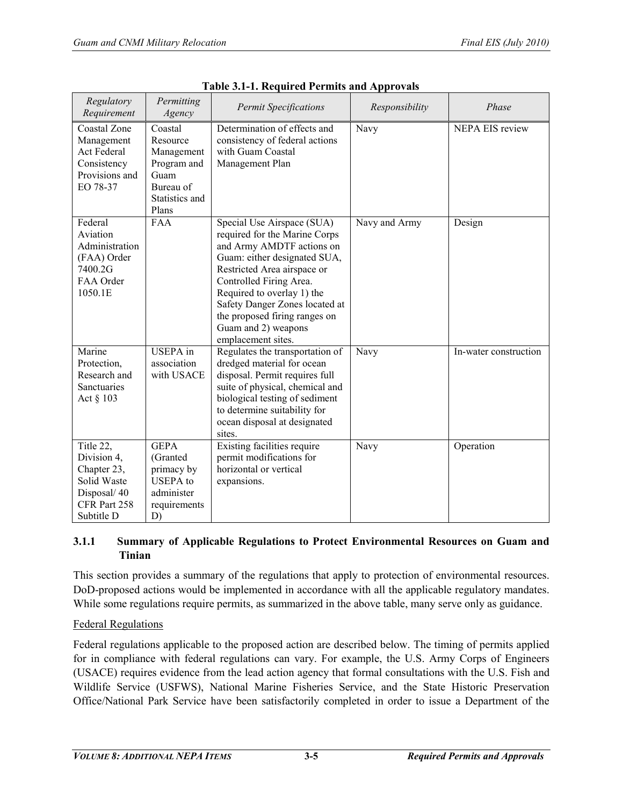| Regulatory<br>Requirement                                                                           | Permitting<br>Agency                                                                             | <b>Permit Specifications</b>                                                                                                                                                                                                                                                                                                     | Responsibility | Phase                  |
|-----------------------------------------------------------------------------------------------------|--------------------------------------------------------------------------------------------------|----------------------------------------------------------------------------------------------------------------------------------------------------------------------------------------------------------------------------------------------------------------------------------------------------------------------------------|----------------|------------------------|
| Coastal Zone<br>Management<br><b>Act Federal</b><br>Consistency<br>Provisions and<br>EO 78-37       | Coastal<br>Resource<br>Management<br>Program and<br>Guam<br>Bureau of<br>Statistics and<br>Plans | Determination of effects and<br>consistency of federal actions<br>with Guam Coastal<br>Management Plan                                                                                                                                                                                                                           | Navy           | <b>NEPA EIS review</b> |
| Federal<br>Aviation<br>Administration<br>(FAA) Order<br>7400.2G<br>FAA Order<br>1050.1E             | <b>FAA</b>                                                                                       | Special Use Airspace (SUA)<br>required for the Marine Corps<br>and Army AMDTF actions on<br>Guam: either designated SUA,<br>Restricted Area airspace or<br>Controlled Firing Area.<br>Required to overlay 1) the<br>Safety Danger Zones located at<br>the proposed firing ranges on<br>Guam and 2) weapons<br>emplacement sites. | Navy and Army  | Design                 |
| Marine<br>Protection,<br>Research and<br><b>Sanctuaries</b><br>Act § 103                            | <b>USEPA</b> in<br>association<br>with USACE                                                     | Regulates the transportation of<br>dredged material for ocean<br>disposal. Permit requires full<br>suite of physical, chemical and<br>biological testing of sediment<br>to determine suitability for<br>ocean disposal at designated<br>sites.                                                                                   | Navy           | In-water construction  |
| Title 22,<br>Division 4,<br>Chapter 23,<br>Solid Waste<br>Disposal/40<br>CFR Part 258<br>Subtitle D | <b>GEPA</b><br>(Granted)<br>primacy by<br><b>USEPA</b> to<br>administer<br>requirements<br>D)    | Existing facilities require<br>permit modifications for<br>horizontal or vertical<br>expansions.                                                                                                                                                                                                                                 | Navy           | Operation              |

| <b>Table 3.1-1. Required Permits and Approvals</b> |  |  |
|----------------------------------------------------|--|--|
|                                                    |  |  |

# **3.1.1 Summary of Applicable Regulations to Protect Environmental Resources on Guam and Tinian**

This section provides a summary of the regulations that apply to protection of environmental resources. DoD-proposed actions would be implemented in accordance with all the applicable regulatory mandates. While some regulations require permits, as summarized in the above table, many serve only as guidance.

# Federal Regulations

Federal regulations applicable to the proposed action are described below. The timing of permits applied for in compliance with federal regulations can vary. For example, the U.S. Army Corps of Engineers (USACE) requires evidence from the lead action agency that formal consultations with the U.S. Fish and Wildlife Service (USFWS), National Marine Fisheries Service, and the State Historic Preservation Office/National Park Service have been satisfactorily completed in order to issue a Department of the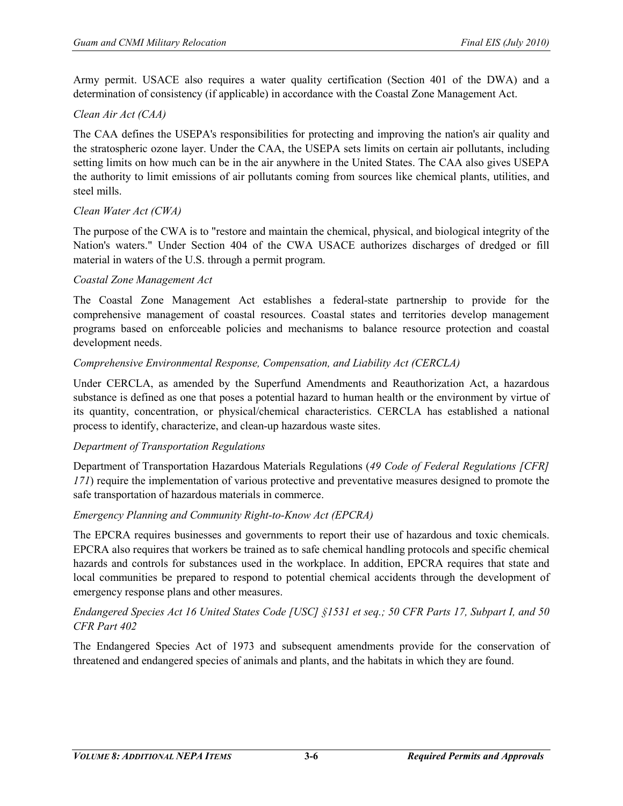Army permit. USACE also requires a water quality certification (Section 401 of the DWA) and a determination of consistency (if applicable) in accordance with the Coastal Zone Management Act.

# *Clean Air Act (CAA)*

The CAA defines the USEPA's responsibilities for protecting and improving the nation's air quality and the stratospheric ozone layer. Under the CAA, the USEPA sets limits on certain air pollutants, including setting limits on how much can be in the air anywhere in the United States. The CAA also gives USEPA the authority to limit emissions of air pollutants coming from sources like chemical plants, utilities, and steel mills.

#### *Clean Water Act (CWA)*

The purpose of the CWA is to "restore and maintain the chemical, physical, and biological integrity of the Nation's waters." Under Section 404 of the CWA USACE authorizes discharges of dredged or fill material in waters of the U.S. through a permit program.

#### *Coastal Zone Management Act*

The Coastal Zone Management Act establishes a federal-state partnership to provide for the comprehensive management of coastal resources. Coastal states and territories develop management programs based on enforceable policies and mechanisms to balance resource protection and coastal development needs.

#### *Comprehensive Environmental Response, Compensation, and Liability Act (CERCLA)*

Under CERCLA, as amended by the Superfund Amendments and Reauthorization Act, a hazardous substance is defined as one that poses a potential hazard to human health or the environment by virtue of its quantity, concentration, or physical/chemical characteristics. CERCLA has established a national process to identify, characterize, and clean-up hazardous waste sites.

#### *Department of Transportation Regulations*

Department of Transportation Hazardous Materials Regulations (*49 Code of Federal Regulations [CFR] 171*) require the implementation of various protective and preventative measures designed to promote the safe transportation of hazardous materials in commerce.

#### *Emergency Planning and Community Right-to-Know Act (EPCRA)*

The EPCRA requires businesses and governments to report their use of hazardous and toxic chemicals. EPCRA also requires that workers be trained as to safe chemical handling protocols and specific chemical hazards and controls for substances used in the workplace. In addition, EPCRA requires that state and local communities be prepared to respond to potential chemical accidents through the development of emergency response plans and other measures.

#### *Endangered Species Act 16 United States Code [USC] §1531 et seq.; 50 CFR Parts 17, Subpart I, and 50 CFR Part 402*

The Endangered Species Act of 1973 and subsequent amendments provide for the conservation of threatened and endangered species of animals and plants, and the habitats in which they are found.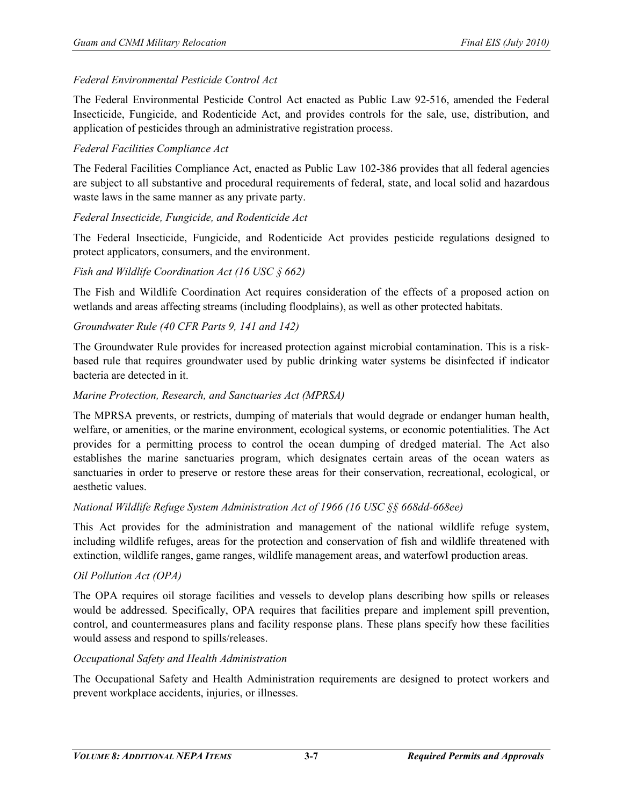## *Federal Environmental Pesticide Control Act*

The Federal Environmental Pesticide Control Act enacted as Public Law 92-516, amended the Federal Insecticide, Fungicide, and Rodenticide Act, and provides controls for the sale, use, distribution, and application of pesticides through an administrative registration process.

## *Federal Facilities Compliance Act*

The Federal Facilities Compliance Act, enacted as Public Law 102-386 provides that all federal agencies are subject to all substantive and procedural requirements of federal, state, and local solid and hazardous waste laws in the same manner as any private party.

#### *Federal Insecticide, Fungicide, and Rodenticide Act*

The Federal Insecticide, Fungicide, and Rodenticide Act provides pesticide regulations designed to protect applicators, consumers, and the environment.

#### *Fish and Wildlife Coordination Act (16 USC § 662)*

The Fish and Wildlife Coordination Act requires consideration of the effects of a proposed action on wetlands and areas affecting streams (including floodplains), as well as other protected habitats.

#### *Groundwater Rule (40 CFR Parts 9, 141 and 142)*

The Groundwater Rule provides for increased protection against microbial contamination. This is a riskbased rule that requires groundwater used by public drinking water systems be disinfected if indicator bacteria are detected in it.

#### *Marine Protection, Research, and Sanctuaries Act (MPRSA)*

The MPRSA prevents, or restricts, dumping of materials that would degrade or endanger human health, welfare, or amenities, or the marine environment, ecological systems, or economic potentialities. The Act provides for a permitting process to control the ocean dumping of dredged material. The Act also establishes the marine sanctuaries program, which designates certain areas of the ocean waters as sanctuaries in order to preserve or restore these areas for their conservation, recreational, ecological, or aesthetic values.

#### *National Wildlife Refuge System Administration Act of 1966 (16 USC §§ 668dd-668ee)*

This Act provides for the administration and management of the national wildlife refuge system, including wildlife refuges, areas for the protection and conservation of fish and wildlife threatened with extinction, wildlife ranges, game ranges, wildlife management areas, and waterfowl production areas.

#### *Oil Pollution Act (OPA)*

The OPA requires oil storage facilities and vessels to develop plans describing how spills or releases would be addressed. Specifically, OPA requires that facilities prepare and implement spill prevention, control, and countermeasures plans and facility response plans. These plans specify how these facilities would assess and respond to spills/releases.

# *Occupational Safety and Health Administration*

The Occupational Safety and Health Administration requirements are designed to protect workers and prevent workplace accidents, injuries, or illnesses.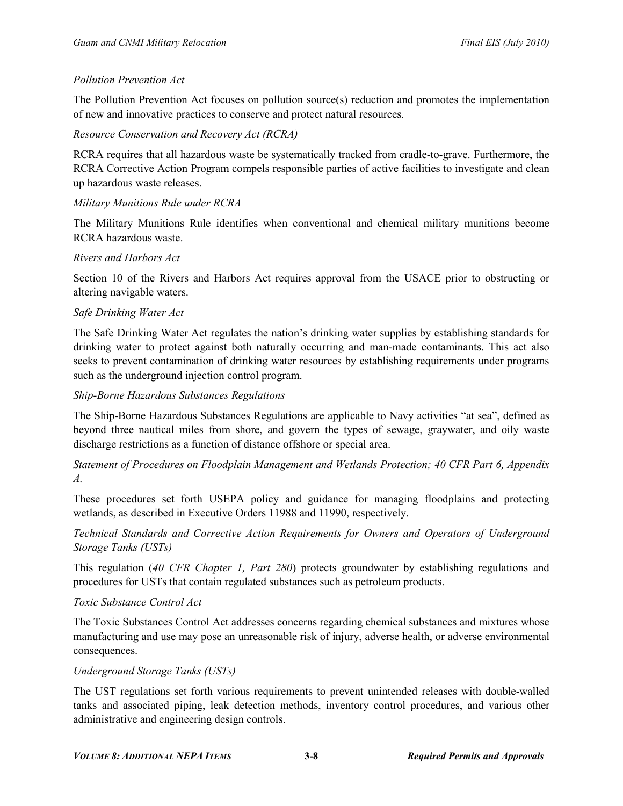#### *Pollution Prevention Act*

The Pollution Prevention Act focuses on pollution source(s) reduction and promotes the implementation of new and innovative practices to conserve and protect natural resources.

*Resource Conservation and Recovery Act (RCRA)*

RCRA requires that all hazardous waste be systematically tracked from cradle-to-grave. Furthermore, the RCRA Corrective Action Program compels responsible parties of active facilities to investigate and clean up hazardous waste releases.

#### *Military Munitions Rule under RCRA*

The Military Munitions Rule identifies when conventional and chemical military munitions become RCRA hazardous waste.

#### *Rivers and Harbors Act*

Section 10 of the Rivers and Harbors Act requires approval from the USACE prior to obstructing or altering navigable waters.

#### *Safe Drinking Water Act*

The Safe Drinking Water Act regulates the nation's drinking water supplies by establishing standards for drinking water to protect against both naturally occurring and man-made contaminants. This act also seeks to prevent contamination of drinking water resources by establishing requirements under programs such as the underground injection control program.

#### *Ship-Borne Hazardous Substances Regulations*

The Ship-Borne Hazardous Substances Regulations are applicable to Navy activities "at sea", defined as beyond three nautical miles from shore, and govern the types of sewage, graywater, and oily waste discharge restrictions as a function of distance offshore or special area.

*Statement of Procedures on Floodplain Management and Wetlands Protection; 40 CFR Part 6, Appendix A.*

These procedures set forth USEPA policy and guidance for managing floodplains and protecting wetlands, as described in Executive Orders 11988 and 11990, respectively.

*Technical Standards and Corrective Action Requirements for Owners and Operators of Underground Storage Tanks (USTs)*

This regulation (*40 CFR Chapter 1, Part 280*) protects groundwater by establishing regulations and procedures for USTs that contain regulated substances such as petroleum products.

#### *Toxic Substance Control Act*

The Toxic Substances Control Act addresses concerns regarding chemical substances and mixtures whose manufacturing and use may pose an unreasonable risk of injury, adverse health, or adverse environmental consequences.

#### *Underground Storage Tanks (USTs)*

The UST regulations set forth various requirements to prevent unintended releases with double-walled tanks and associated piping, leak detection methods, inventory control procedures, and various other administrative and engineering design controls.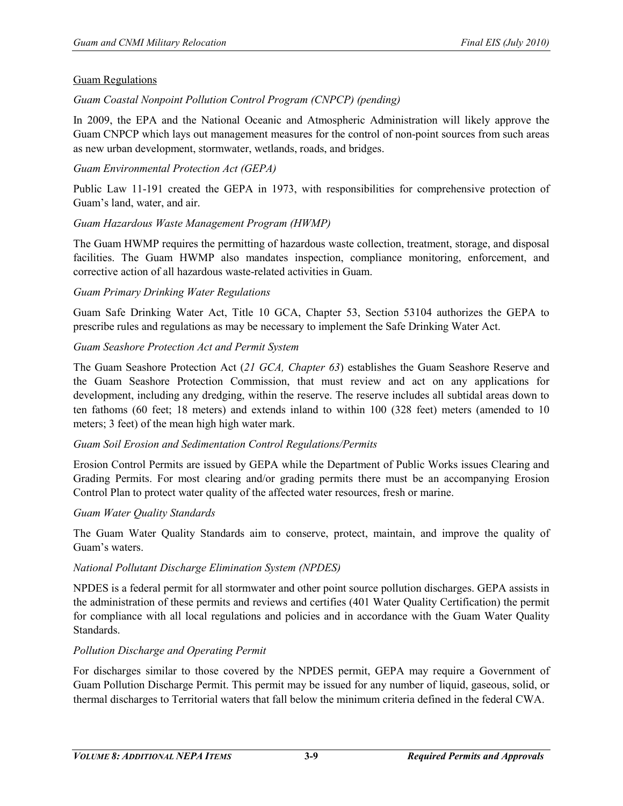#### Guam Regulations

## *Guam Coastal Nonpoint Pollution Control Program (CNPCP) (pending)*

In 2009, the EPA and the National Oceanic and Atmospheric Administration will likely approve the Guam CNPCP which lays out management measures for the control of non-point sources from such areas as new urban development, stormwater, wetlands, roads, and bridges.

#### *Guam Environmental Protection Act (GEPA)*

Public Law 11-191 created the GEPA in 1973, with responsibilities for comprehensive protection of Guam's land, water, and air.

#### *Guam Hazardous Waste Management Program (HWMP)*

The Guam HWMP requires the permitting of hazardous waste collection, treatment, storage, and disposal facilities. The Guam HWMP also mandates inspection, compliance monitoring, enforcement, and corrective action of all hazardous waste-related activities in Guam.

#### *Guam Primary Drinking Water Regulations*

Guam Safe Drinking Water Act, Title 10 GCA, Chapter 53, Section 53104 authorizes the GEPA to prescribe rules and regulations as may be necessary to implement the Safe Drinking Water Act.

#### *Guam Seashore Protection Act and Permit System*

The Guam Seashore Protection Act (*21 GCA, Chapter 63*) establishes the Guam Seashore Reserve and the Guam Seashore Protection Commission, that must review and act on any applications for development, including any dredging, within the reserve. The reserve includes all subtidal areas down to ten fathoms (60 feet; 18 meters) and extends inland to within 100 (328 feet) meters (amended to 10 meters; 3 feet) of the mean high high water mark.

#### *Guam Soil Erosion and Sedimentation Control Regulations/Permits*

Erosion Control Permits are issued by GEPA while the Department of Public Works issues Clearing and Grading Permits. For most clearing and/or grading permits there must be an accompanying Erosion Control Plan to protect water quality of the affected water resources, fresh or marine.

#### *Guam Water Quality Standards*

The Guam Water Quality Standards aim to conserve, protect, maintain, and improve the quality of Guam's waters.

#### *National Pollutant Discharge Elimination System (NPDES)*

NPDES is a federal permit for all stormwater and other point source pollution discharges. GEPA assists in the administration of these permits and reviews and certifies (401 Water Quality Certification) the permit for compliance with all local regulations and policies and in accordance with the Guam Water Quality Standards.

#### *Pollution Discharge and Operating Permit*

For discharges similar to those covered by the NPDES permit, GEPA may require a Government of Guam Pollution Discharge Permit. This permit may be issued for any number of liquid, gaseous, solid, or thermal discharges to Territorial waters that fall below the minimum criteria defined in the federal CWA.